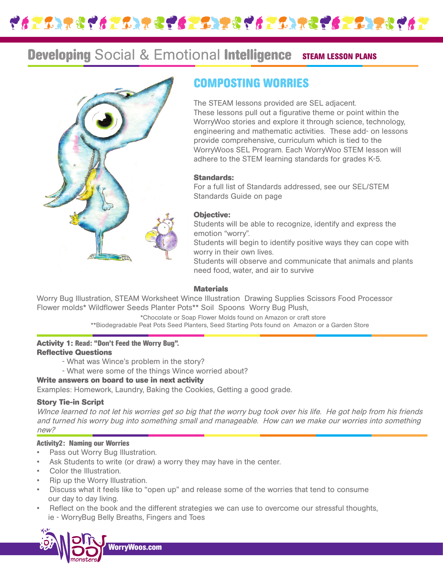

# **Developing Social & Emotional Intelligence STEAM LESSON PLANS**



## **COMPOSTING WORRIES**

The STEAM lessons provided are SEL adjacent. These lessons pull out a figurative theme or point within the WorryWoo stories and explore it through science, technology, engineering and mathematic activities. These add- on lessons provide comprehensive, curriculum which is tied to the WorryWoos SEL Program. Each WorryWoo STEM lesson will adhere to the STEM learning standards for grades K-5.

## **Standards:**

For a full list of Standards addressed, see our SEL/STEM Standards Guide on page

## **Objective:**

Students will be able to recognize, identify and express the emotion "worry".

Students will begin to identify positive ways they can cope with worry in their own lives.

Students will observe and communicate that animals and plants need food, water, and air to survive

## **Materials**

Worry Bug Illustration, STEAM Worksheet Wince Illustration Drawing Supplies Scissors Food Processor Flower molds\* Wildflower Seeds Planter Pots\*\* Soil Spoons Worry Bug Plush,

> \*Chocolate or Soap Flower Molds found on Amazon or craft store \*\*Biodegradable Peat Pots Seed Planters, Seed Starting Pots found on Amazon or a Garden Store

#### **Activity 1: Read: "Don't Feed the Worry Bug". Reflective Questions**

- What was Wince's problem in the story?
- What were some of the things Wince worried about?

## **Write answers on board to use in next activity**

Examples: Homework, Laundry, Baking the Cookies, Getting a good grade.

## **Story Tie-in Script**

WInce learned to not let his worries get so big that the worry bug took over his life. He got help from his friends and turned his worry bug into something small and manageable. How can we make our worries into something new?

## **Activity2: Naming our Worries**

- Pass out Worry Bug Illustration.
- Ask Students to write (or draw) a worry they may have in the center.
- Color the Illustration.
- Rip up the Worry Illustration.
- Discuss what it feels like to "open up" and release some of the worries that tend to consume our day to day living.
- Reflect on the book and the different strategies we can use to overcome our stressful thoughts, ie - WorryBug Belly Breaths, Fingers and Toes